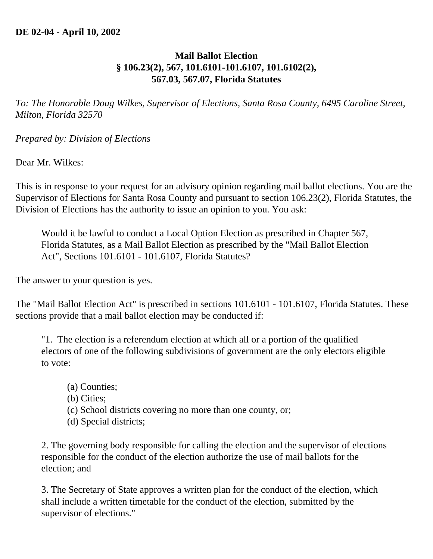## **Mail Ballot Election § 106.23(2), 567, 101.6101-101.6107, 101.6102(2), 567.03, 567.07, Florida Statutes**

*To: The Honorable Doug Wilkes, Supervisor of Elections, Santa Rosa County, 6495 Caroline Street, Milton, Florida 32570* 

*Prepared by: Division of Elections*

Dear Mr. Wilkes:

This is in response to your request for an advisory opinion regarding mail ballot elections. You are the Supervisor of Elections for Santa Rosa County and pursuant to section 106.23(2), Florida Statutes, the Division of Elections has the authority to issue an opinion to you. You ask:

Would it be lawful to conduct a Local Option Election as prescribed in Chapter 567, Florida Statutes, as a Mail Ballot Election as prescribed by the "Mail Ballot Election Act", Sections 101.6101 - 101.6107, Florida Statutes?

The answer to your question is yes.

The "Mail Ballot Election Act" is prescribed in sections 101.6101 - 101.6107, Florida Statutes. These sections provide that a mail ballot election may be conducted if:

"1. The election is a referendum election at which all or a portion of the qualified electors of one of the following subdivisions of government are the only electors eligible to vote:

- (a) Counties;
- (b) Cities;
- (c) School districts covering no more than one county, or;
- (d) Special districts;

2. The governing body responsible for calling the election and the supervisor of elections responsible for the conduct of the election authorize the use of mail ballots for the election; and

3. The Secretary of State approves a written plan for the conduct of the election, which shall include a written timetable for the conduct of the election, submitted by the supervisor of elections."